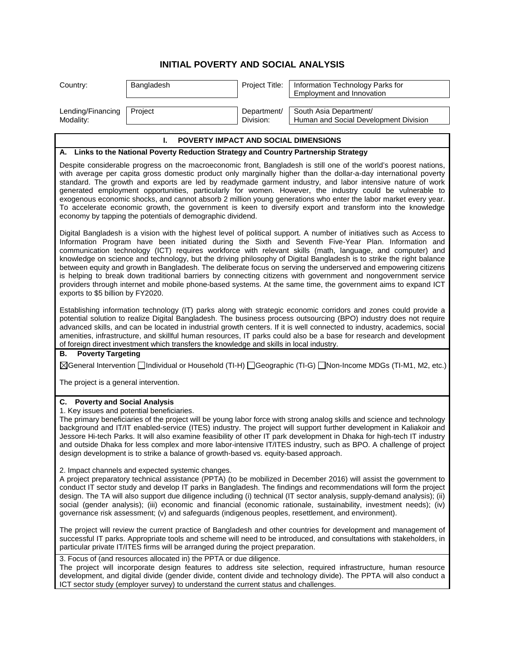## **INITIAL POVERTY AND SOCIAL ANALYSIS**

| Country:                                                                                                                                                                                                                                                                                                                                                                                                                                                                                                                                                                                                                                                                                                                                                                                                                                                        | Bangladesh | Project Title:           | Information Technology Parks for<br>Employment and Innovation   |  |
|-----------------------------------------------------------------------------------------------------------------------------------------------------------------------------------------------------------------------------------------------------------------------------------------------------------------------------------------------------------------------------------------------------------------------------------------------------------------------------------------------------------------------------------------------------------------------------------------------------------------------------------------------------------------------------------------------------------------------------------------------------------------------------------------------------------------------------------------------------------------|------------|--------------------------|-----------------------------------------------------------------|--|
| Lending/Financing<br>Modality:                                                                                                                                                                                                                                                                                                                                                                                                                                                                                                                                                                                                                                                                                                                                                                                                                                  | Project    | Department/<br>Division: | South Asia Department/<br>Human and Social Development Division |  |
|                                                                                                                                                                                                                                                                                                                                                                                                                                                                                                                                                                                                                                                                                                                                                                                                                                                                 | ı.         |                          |                                                                 |  |
| POVERTY IMPACT AND SOCIAL DIMENSIONS<br>A. Links to the National Poverty Reduction Strategy and Country Partnership Strategy                                                                                                                                                                                                                                                                                                                                                                                                                                                                                                                                                                                                                                                                                                                                    |            |                          |                                                                 |  |
| Despite considerable progress on the macroeconomic front, Bangladesh is still one of the world's poorest nations,<br>with average per capita gross domestic product only marginally higher than the dollar-a-day international poverty<br>standard. The growth and exports are led by readymade garment industry, and labor intensive nature of work<br>generated employment opportunities, particularly for women. However, the industry could be vulnerable to<br>exogenous economic shocks, and cannot absorb 2 million young generations who enter the labor market every year.<br>To accelerate economic growth, the government is keen to diversify export and transform into the knowledge<br>economy by tapping the potentials of demographic dividend.                                                                                                 |            |                          |                                                                 |  |
| Digital Bangladesh is a vision with the highest level of political support. A number of initiatives such as Access to<br>Information Program have been initiated during the Sixth and Seventh Five-Year Plan. Information and<br>communication technology (ICT) requires workforce with relevant skills (math, language, and computer) and<br>knowledge on science and technology, but the driving philosophy of Digital Bangladesh is to strike the right balance<br>between equity and growth in Bangladesh. The deliberate focus on serving the underserved and empowering citizens<br>is helping to break down traditional barriers by connecting citizens with government and nongovernment service<br>providers through internet and mobile phone-based systems. At the same time, the government aims to expand ICT<br>exports to \$5 billion by FY2020. |            |                          |                                                                 |  |
| Establishing information technology (IT) parks along with strategic economic corridors and zones could provide a<br>potential solution to realize Digital Bangladesh. The business process outsourcing (BPO) industry does not require<br>advanced skills, and can be located in industrial growth centers. If it is well connected to industry, academics, social<br>amenities, infrastructure, and skillful human resources, IT parks could also be a base for research and development<br>of foreign direct investment which transfers the knowledge and skills in local industry.                                                                                                                                                                                                                                                                           |            |                          |                                                                 |  |
| <b>Poverty Targeting</b><br>В.                                                                                                                                                                                                                                                                                                                                                                                                                                                                                                                                                                                                                                                                                                                                                                                                                                  |            |                          |                                                                 |  |
| ⊠General Intervention Individual or Household (TI-H) I Geographic (TI-G) I Non-Income MDGs (TI-M1, M2, etc.)                                                                                                                                                                                                                                                                                                                                                                                                                                                                                                                                                                                                                                                                                                                                                    |            |                          |                                                                 |  |
| The project is a general intervention.                                                                                                                                                                                                                                                                                                                                                                                                                                                                                                                                                                                                                                                                                                                                                                                                                          |            |                          |                                                                 |  |
| C. Poverty and Social Analysis<br>1. Key issues and potential beneficiaries.<br>The primary beneficiaries of the project will be young labor force with strong analog skills and science and technology<br>background and IT/IT enabled-service (ITES) industry. The project will support further development in Kaliakoir and<br>Jessore Hi-tech Parks. It will also examine feasibility of other IT park development in Dhaka for high-tech IT industry<br>and outside Dhaka for less complex and more labor-intensive IT/ITES industry, such as BPO. A challenge of project<br>design development is to strike a balance of growth-based vs. equity-based approach.                                                                                                                                                                                          |            |                          |                                                                 |  |
| 2. Impact channels and expected systemic changes.<br>A project preparatory technical assistance (PPTA) (to be mobilized in December 2016) will assist the government to<br>conduct IT sector study and develop IT parks in Bangladesh. The findings and recommendations will form the project<br>design. The TA will also support due diligence including (i) technical (IT sector analysis, supply-demand analysis); (ii)<br>social (gender analysis); (iii) economic and financial (economic rationale, sustainability, investment needs); (iv)<br>governance risk assessment; (v) and safeguards (indigenous peoples, resettlement, and environment).                                                                                                                                                                                                        |            |                          |                                                                 |  |
| The project will review the current practice of Bangladesh and other countries for development and management of<br>successful IT parks. Appropriate tools and scheme will need to be introduced, and consultations with stakeholders, in<br>particular private IT/ITES firms will be arranged during the project preparation.                                                                                                                                                                                                                                                                                                                                                                                                                                                                                                                                  |            |                          |                                                                 |  |
| 3. Focus of (and resources allocated in) the PPTA or due diligence.<br>The project will incorporate design features to address site selection, required infrastructure, human resource<br>development, and digital divide (gender divide, content divide and technology divide). The PPTA will also conduct a<br>ICT sector study (employer survey) to understand the current status and challenges.                                                                                                                                                                                                                                                                                                                                                                                                                                                            |            |                          |                                                                 |  |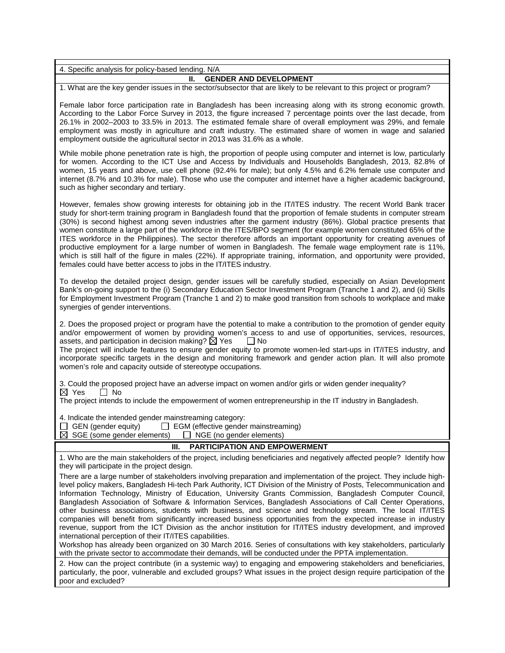| 4. Specific analysis for policy-based lending. N/A                                                                                                                                                                                                                                                                                                                                                                                                                                                                                                                                                                                                                                                                                                                                                                                                                                                                                                                                                                                                                                                                                                                                                                                            |  |  |  |
|-----------------------------------------------------------------------------------------------------------------------------------------------------------------------------------------------------------------------------------------------------------------------------------------------------------------------------------------------------------------------------------------------------------------------------------------------------------------------------------------------------------------------------------------------------------------------------------------------------------------------------------------------------------------------------------------------------------------------------------------------------------------------------------------------------------------------------------------------------------------------------------------------------------------------------------------------------------------------------------------------------------------------------------------------------------------------------------------------------------------------------------------------------------------------------------------------------------------------------------------------|--|--|--|
| <b>GENDER AND DEVELOPMENT</b><br>Ш.                                                                                                                                                                                                                                                                                                                                                                                                                                                                                                                                                                                                                                                                                                                                                                                                                                                                                                                                                                                                                                                                                                                                                                                                           |  |  |  |
| 1. What are the key gender issues in the sector/subsector that are likely to be relevant to this project or program?                                                                                                                                                                                                                                                                                                                                                                                                                                                                                                                                                                                                                                                                                                                                                                                                                                                                                                                                                                                                                                                                                                                          |  |  |  |
| Female labor force participation rate in Bangladesh has been increasing along with its strong economic growth.<br>According to the Labor Force Survey in 2013, the figure increased 7 percentage points over the last decade, from<br>26.1% in 2002-2003 to 33.5% in 2013. The estimated female share of overall employment was 29%, and female<br>employment was mostly in agriculture and craft industry. The estimated share of women in wage and salaried<br>employment outside the agricultural sector in 2013 was 31.6% as a whole.                                                                                                                                                                                                                                                                                                                                                                                                                                                                                                                                                                                                                                                                                                     |  |  |  |
| While mobile phone penetration rate is high, the proportion of people using computer and internet is low, particularly<br>for women. According to the ICT Use and Access by Individuals and Households Bangladesh, 2013, 82.8% of<br>women, 15 years and above, use cell phone (92.4% for male); but only 4.5% and 6.2% female use computer and<br>internet (8.7% and 10.3% for male). Those who use the computer and internet have a higher academic background,<br>such as higher secondary and tertiary.                                                                                                                                                                                                                                                                                                                                                                                                                                                                                                                                                                                                                                                                                                                                   |  |  |  |
| However, females show growing interests for obtaining job in the IT/ITES industry. The recent World Bank tracer<br>study for short-term training program in Bangladesh found that the proportion of female students in computer stream<br>(30%) is second highest among seven industries after the garment industry (86%). Global practice presents that<br>women constitute a large part of the workforce in the ITES/BPO segment (for example women constituted 65% of the<br>ITES workforce in the Philippines). The sector therefore affords an important opportunity for creating avenues of<br>productive employment for a large number of women in Bangladesh. The female wage employment rate is 11%,<br>which is still half of the figure in males (22%). If appropriate training, information, and opportunity were provided,<br>females could have better access to jobs in the IT/ITES industry.                                                                                                                                                                                                                                                                                                                                  |  |  |  |
| To develop the detailed project design, gender issues will be carefully studied, especially on Asian Development<br>Bank's on-going support to the (i) Secondary Education Sector Investment Program (Tranche 1 and 2), and (ii) Skills<br>for Employment Investment Program (Tranche 1 and 2) to make good transition from schools to workplace and make<br>synergies of gender interventions.                                                                                                                                                                                                                                                                                                                                                                                                                                                                                                                                                                                                                                                                                                                                                                                                                                               |  |  |  |
| 2. Does the proposed project or program have the potential to make a contribution to the promotion of gender equity<br>and/or empowerment of women by providing women's access to and use of opportunities, services, resources,<br>assets, and participation in decision making? $\boxtimes$ Yes<br>$\Box$ No<br>The project will include features to ensure gender equity to promote women-led start-ups in IT/ITES industry, and<br>incorporate specific targets in the design and monitoring framework and gender action plan. It will also promote<br>women's role and capacity outside of stereotype occupations.                                                                                                                                                                                                                                                                                                                                                                                                                                                                                                                                                                                                                       |  |  |  |
| 3. Could the proposed project have an adverse impact on women and/or girls or widen gender inequality?<br>$\boxtimes$ Yes<br>$\Box$ No                                                                                                                                                                                                                                                                                                                                                                                                                                                                                                                                                                                                                                                                                                                                                                                                                                                                                                                                                                                                                                                                                                        |  |  |  |
| The project intends to include the empowerment of women entrepreneurship in the IT industry in Bangladesh.                                                                                                                                                                                                                                                                                                                                                                                                                                                                                                                                                                                                                                                                                                                                                                                                                                                                                                                                                                                                                                                                                                                                    |  |  |  |
| 4. Indicate the intended gender mainstreaming category:<br>GEN (gender equity)<br>$\Box$ EGM (effective gender mainstreaming)<br>$\boxtimes$ SGE (some gender elements)<br>$\Box$ NGE (no gender elements)                                                                                                                                                                                                                                                                                                                                                                                                                                                                                                                                                                                                                                                                                                                                                                                                                                                                                                                                                                                                                                    |  |  |  |
| Ш.<br><b>PARTICIPATION AND EMPOWERMENT</b>                                                                                                                                                                                                                                                                                                                                                                                                                                                                                                                                                                                                                                                                                                                                                                                                                                                                                                                                                                                                                                                                                                                                                                                                    |  |  |  |
| 1. Who are the main stakeholders of the project, including beneficiaries and negatively affected people? Identify how<br>they will participate in the project design.                                                                                                                                                                                                                                                                                                                                                                                                                                                                                                                                                                                                                                                                                                                                                                                                                                                                                                                                                                                                                                                                         |  |  |  |
| There are a large number of stakeholders involving preparation and implementation of the project. They include high-<br>level policy makers, Bangladesh Hi-tech Park Authority, ICT Division of the Ministry of Posts, Telecommunication and<br>Information Technology, Ministry of Education, University Grants Commission, Bangladesh Computer Council,<br>Bangladesh Association of Software & Information Services, Bangladesh Associations of Call Center Operations,<br>other business associations, students with business, and science and technology stream. The local IT/ITES<br>companies will benefit from significantly increased business opportunities from the expected increase in industry<br>revenue, support from the ICT Division as the anchor institution for IT/ITES industry development, and improved<br>international perception of their IT/ITES capabilities.<br>Workshop has already been organized on 30 March 2016. Series of consultations with key stakeholders, particularly<br>with the private sector to accommodate their demands, will be conducted under the PPTA implementation.<br>2. How can the project contribute (in a systemic way) to engaging and empowering stakeholders and beneficiaries, |  |  |  |
| particularly, the poor, vulnerable and excluded groups? What issues in the project design require participation of the<br>poor and excluded?                                                                                                                                                                                                                                                                                                                                                                                                                                                                                                                                                                                                                                                                                                                                                                                                                                                                                                                                                                                                                                                                                                  |  |  |  |